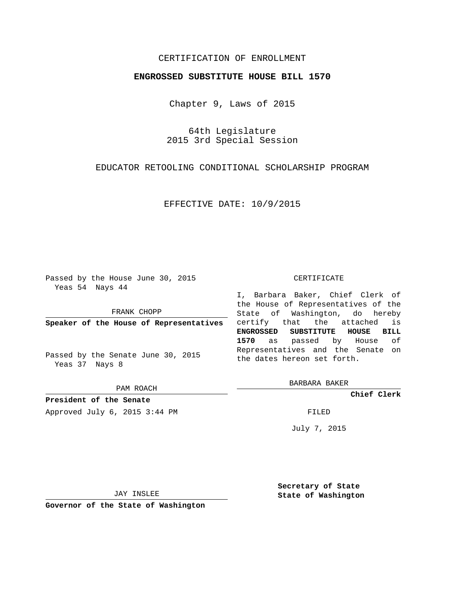# CERTIFICATION OF ENROLLMENT

## **ENGROSSED SUBSTITUTE HOUSE BILL 1570**

Chapter 9, Laws of 2015

64th Legislature 2015 3rd Special Session

EDUCATOR RETOOLING CONDITIONAL SCHOLARSHIP PROGRAM

EFFECTIVE DATE: 10/9/2015

Passed by the House June 30, 2015 Yeas 54 Nays 44

FRANK CHOPP

**Speaker of the House of Representatives**

Passed by the Senate June 30, 2015 Yeas 37 Nays 8

PAM ROACH

**President of the Senate** Approved July 6, 2015 3:44 PM FILED

#### CERTIFICATE

I, Barbara Baker, Chief Clerk of the House of Representatives of the State of Washington, do hereby certify that the attached is **ENGROSSED SUBSTITUTE HOUSE BILL 1570** as passed by House of Representatives and the Senate on the dates hereon set forth.

BARBARA BAKER

**Chief Clerk**

July 7, 2015

JAY INSLEE

**Governor of the State of Washington**

**Secretary of State State of Washington**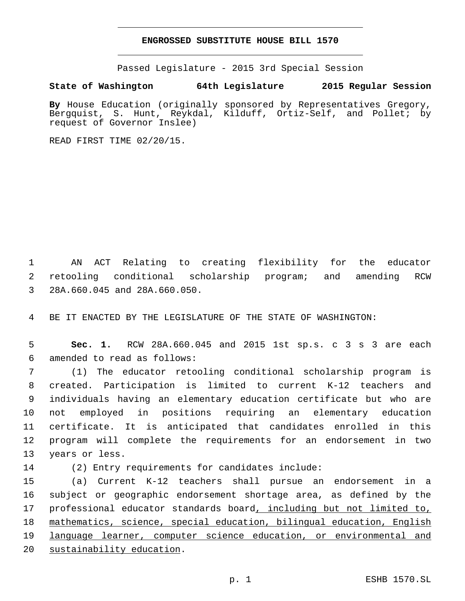### **ENGROSSED SUBSTITUTE HOUSE BILL 1570**

Passed Legislature - 2015 3rd Special Session

## **State of Washington 64th Legislature 2015 Regular Session**

**By** House Education (originally sponsored by Representatives Gregory, Bergquist, S. Hunt, Reykdal, Kilduff, Ortiz-Self, and Pollet; by request of Governor Inslee)

READ FIRST TIME 02/20/15.

1 AN ACT Relating to creating flexibility for the educator 2 retooling conditional scholarship program; and amending RCW 28A.660.045 and 28A.660.050.3

4 BE IT ENACTED BY THE LEGISLATURE OF THE STATE OF WASHINGTON:

5 **Sec. 1.** RCW 28A.660.045 and 2015 1st sp.s. c 3 s 3 are each 6 amended to read as follows:

 (1) The educator retooling conditional scholarship program is created. Participation is limited to current K-12 teachers and individuals having an elementary education certificate but who are not employed in positions requiring an elementary education certificate. It is anticipated that candidates enrolled in this program will complete the requirements for an endorsement in two 13 years or less.

14 (2) Entry requirements for candidates include:

 (a) Current K-12 teachers shall pursue an endorsement in a subject or geographic endorsement shortage area, as defined by the 17 professional educator standards board, including but not limited to, mathematics, science, special education, bilingual education, English language learner, computer science education, or environmental and 20 sustainability education.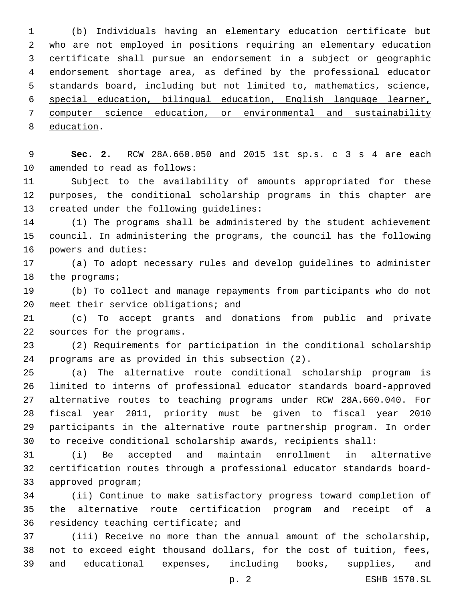(b) Individuals having an elementary education certificate but who are not employed in positions requiring an elementary education certificate shall pursue an endorsement in a subject or geographic endorsement shortage area, as defined by the professional educator 5 standards board, including but not limited to, mathematics, science, special education, bilingual education, English language learner, computer science education, or environmental and sustainability 8 education.

 **Sec. 2.** RCW 28A.660.050 and 2015 1st sp.s. c 3 s 4 are each 10 amended to read as follows:

 Subject to the availability of amounts appropriated for these purposes, the conditional scholarship programs in this chapter are 13 created under the following guidelines:

 (1) The programs shall be administered by the student achievement council. In administering the programs, the council has the following 16 powers and duties:

 (a) To adopt necessary rules and develop guidelines to administer 18 the programs;

 (b) To collect and manage repayments from participants who do not 20 meet their service obligations; and

 (c) To accept grants and donations from public and private 22 sources for the programs.

 (2) Requirements for participation in the conditional scholarship 24 programs are as provided in this subsection (2).

 (a) The alternative route conditional scholarship program is limited to interns of professional educator standards board-approved alternative routes to teaching programs under RCW 28A.660.040. For fiscal year 2011, priority must be given to fiscal year 2010 participants in the alternative route partnership program. In order to receive conditional scholarship awards, recipients shall:

 (i) Be accepted and maintain enrollment in alternative certification routes through a professional educator standards board-33 approved program;

 (ii) Continue to make satisfactory progress toward completion of the alternative route certification program and receipt of a 36 residency teaching certificate; and

 (iii) Receive no more than the annual amount of the scholarship, not to exceed eight thousand dollars, for the cost of tuition, fees, and educational expenses, including books, supplies, and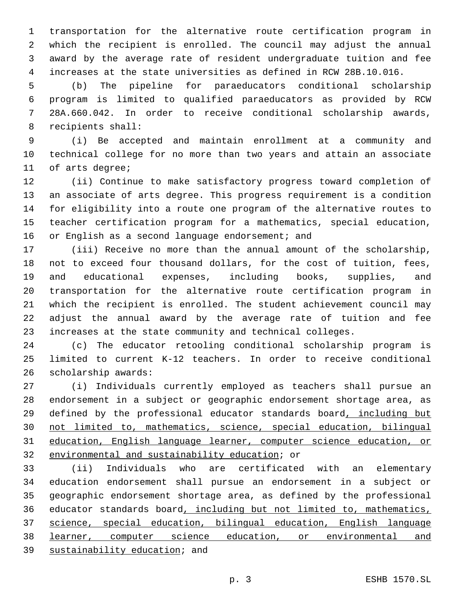transportation for the alternative route certification program in which the recipient is enrolled. The council may adjust the annual award by the average rate of resident undergraduate tuition and fee increases at the state universities as defined in RCW 28B.10.016.

 (b) The pipeline for paraeducators conditional scholarship program is limited to qualified paraeducators as provided by RCW 28A.660.042. In order to receive conditional scholarship awards, 8 recipients shall:

 (i) Be accepted and maintain enrollment at a community and technical college for no more than two years and attain an associate 11 of arts degree;

 (ii) Continue to make satisfactory progress toward completion of an associate of arts degree. This progress requirement is a condition for eligibility into a route one program of the alternative routes to teacher certification program for a mathematics, special education, 16 or English as a second language endorsement; and

 (iii) Receive no more than the annual amount of the scholarship, not to exceed four thousand dollars, for the cost of tuition, fees, and educational expenses, including books, supplies, and transportation for the alternative route certification program in which the recipient is enrolled. The student achievement council may adjust the annual award by the average rate of tuition and fee increases at the state community and technical colleges.

 (c) The educator retooling conditional scholarship program is limited to current K-12 teachers. In order to receive conditional 26 scholarship awards:

 (i) Individuals currently employed as teachers shall pursue an endorsement in a subject or geographic endorsement shortage area, as 29 defined by the professional educator standards board, including but not limited to, mathematics, science, special education, bilingual education, English language learner, computer science education, or 32 environmental and sustainability education; or

 (ii) Individuals who are certificated with an elementary education endorsement shall pursue an endorsement in a subject or geographic endorsement shortage area, as defined by the professional 36 educator standards board, including but not limited to, mathematics, science, special education, bilingual education, English language 38 learner, computer science education, or environmental and 39 sustainability education; and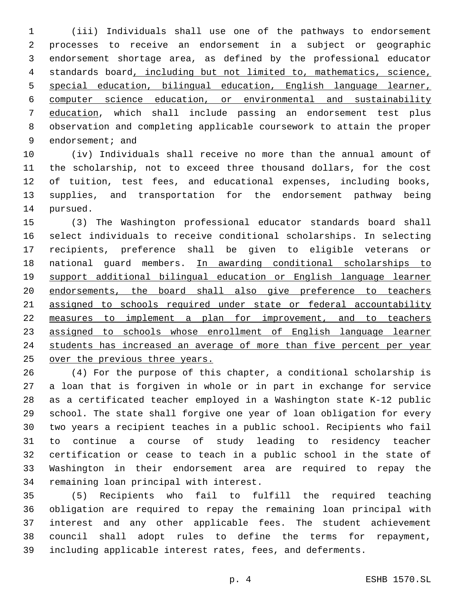(iii) Individuals shall use one of the pathways to endorsement processes to receive an endorsement in a subject or geographic endorsement shortage area, as defined by the professional educator standards board, including but not limited to, mathematics, science, special education, bilingual education, English language learner, computer science education, or environmental and sustainability education, which shall include passing an endorsement test plus observation and completing applicable coursework to attain the proper 9 endorsement; and

 (iv) Individuals shall receive no more than the annual amount of the scholarship, not to exceed three thousand dollars, for the cost of tuition, test fees, and educational expenses, including books, supplies, and transportation for the endorsement pathway being 14 pursued.

 (3) The Washington professional educator standards board shall select individuals to receive conditional scholarships. In selecting recipients, preference shall be given to eligible veterans or 18 national guard members. In awarding conditional scholarships to support additional bilingual education or English language learner endorsements, the board shall also give preference to teachers assigned to schools required under state or federal accountability measures to implement a plan for improvement, and to teachers assigned to schools whose enrollment of English language learner students has increased an average of more than five percent per year over the previous three years.

 (4) For the purpose of this chapter, a conditional scholarship is a loan that is forgiven in whole or in part in exchange for service as a certificated teacher employed in a Washington state K-12 public school. The state shall forgive one year of loan obligation for every two years a recipient teaches in a public school. Recipients who fail to continue a course of study leading to residency teacher certification or cease to teach in a public school in the state of Washington in their endorsement area are required to repay the 34 remaining loan principal with interest.

 (5) Recipients who fail to fulfill the required teaching obligation are required to repay the remaining loan principal with interest and any other applicable fees. The student achievement council shall adopt rules to define the terms for repayment, including applicable interest rates, fees, and deferments.